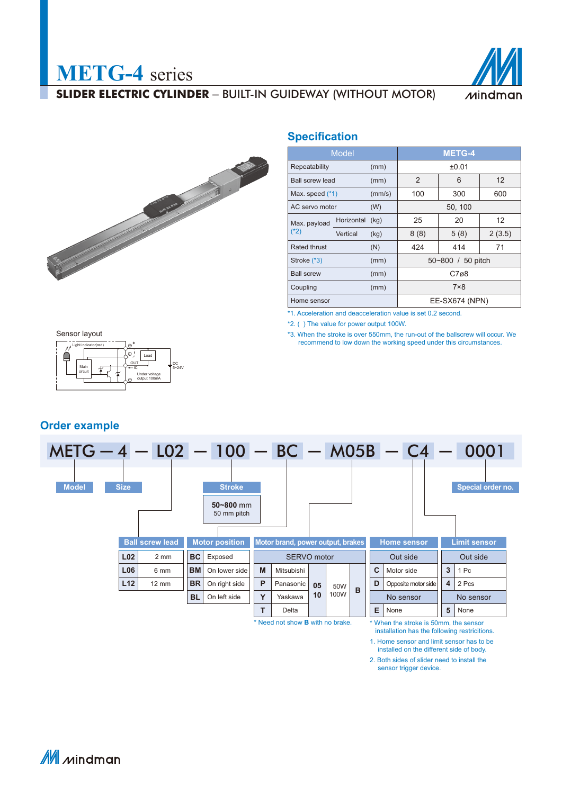



**METG-4** series

### **Specification**

|                                | <b>Model</b> |        | <b>METG-4</b> |                   |        |  |  |  |  |
|--------------------------------|--------------|--------|---------------|-------------------|--------|--|--|--|--|
| Repeatability                  |              | (mm)   | ±0.01         |                   |        |  |  |  |  |
| <b>Ball screw lead</b>         |              | (mm)   | 2             | 6                 |        |  |  |  |  |
| Max. speed $(*1)$              |              | (mm/s) | 100           | 300               | 600    |  |  |  |  |
| AC servo motor                 |              | (W)    | 50, 100       |                   |        |  |  |  |  |
| Max. payload                   | Horizontal   | (kg)   | 25            | 20                | 12     |  |  |  |  |
| $(*2)$                         | Vertical     | (kg)   | 8(8)          | 5(8)              | 2(3.5) |  |  |  |  |
| Rated thrust                   |              | (N)    | 424           | 414               | 71     |  |  |  |  |
| Stroke (*3)                    |              | (mm)   |               | 50~800 / 50 pitch |        |  |  |  |  |
| <b>Ball screw</b>              |              | (mm)   |               | C7ø8              |        |  |  |  |  |
| $7\times8$<br>Coupling<br>(mm) |              |        |               |                   |        |  |  |  |  |
| Home sensor                    |              |        |               | EE-SX674 (NPN)    |        |  |  |  |  |

\*1. Acceleration and deacceleration value is set 0.2 second.

\*2. ( ) The value for power output 100W.

\*3. When the stroke is over 550mm, the run-out of the ballscrew will occur. We recommend to low down the working speed under this circumstances.



### **Order example**



Need not show **B** with no brake.

When the stroke is 50mm, the sensor installation has the following restricitions.

1. Home sensor and limit sensor has to be

installed on the different side of body. 2. Both sides of slider need to install the

sensor trigger device.

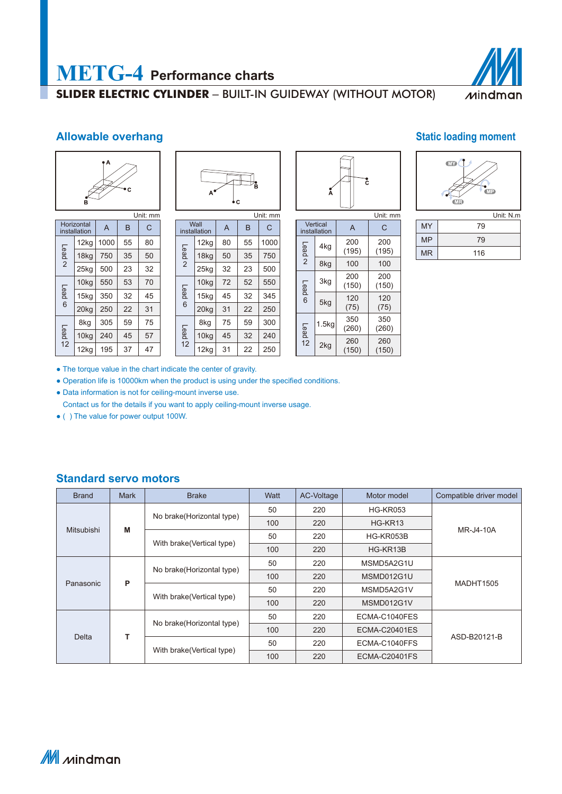

## **Allowable overhang Static loading moment Static loading moment**



|                        | Horizontal<br>installation | $\overline{A}$ | B  | C  |  |  |  |  |  |  |
|------------------------|----------------------------|----------------|----|----|--|--|--|--|--|--|
| Lead<br>$\overline{2}$ | 12kg                       | 1000           | 55 | 80 |  |  |  |  |  |  |
|                        | 18kg                       | 750            | 35 | 50 |  |  |  |  |  |  |
|                        | 25kg                       | 500            | 23 | 32 |  |  |  |  |  |  |
|                        | 10kg                       | 550            | 53 | 70 |  |  |  |  |  |  |
| Lead co                | 15kg                       | 350            | 32 | 45 |  |  |  |  |  |  |
|                        | 20kg                       | 250            | 22 | 31 |  |  |  |  |  |  |
|                        | 8kg                        | 305            | 59 | 75 |  |  |  |  |  |  |
| Lead                   | 10kg                       | 240            | 45 | 57 |  |  |  |  |  |  |
| 12                     | 12kg                       | 195            | 37 | 47 |  |  |  |  |  |  |

| R<br>А<br>۰c |
|--------------|
| Unit: mm     |

|                        | Wall<br>installation | A  | B  | C    |  |
|------------------------|----------------------|----|----|------|--|
|                        | 12kg                 | 80 | 55 | 1000 |  |
| Lead<br>$\overline{2}$ | 18kg                 | 50 | 35 | 750  |  |
|                        | 25kg                 | 32 | 23 | 500  |  |
|                        | 10kg                 | 72 | 52 | 550  |  |
| Lead                   | 15kg                 | 45 | 32 | 345  |  |
| 6                      | 20kg                 | 31 | 22 | 250  |  |
|                        | 8kg                  | 75 | 59 | 300  |  |
| Lead                   | 10kg                 | 45 | 32 | 240  |  |
| 12                     | 12kg                 | 31 | 22 | 250  |  |

| А | č |          |
|---|---|----------|
|   |   | Unit: mm |

|                        | Vertical<br>installation | A            | C            |  |  |
|------------------------|--------------------------|--------------|--------------|--|--|
| Lead<br>$\overline{2}$ | 4kg                      | 200<br>(195) | 200<br>(195) |  |  |
|                        | 8kg                      | 100          | 100          |  |  |
| Lead                   | 3kg                      | 200<br>(150) | 200<br>(150) |  |  |
| 6                      | 5kg                      | 120<br>(75)  | 120<br>(75)  |  |  |
| Lead                   | 1.5 <sub>kq</sub>        | 350<br>(260) | 350<br>(260) |  |  |
| 12                     | 2kg                      | 260<br>(150) | 260<br>(150) |  |  |



|           | Unit: N.m. |
|-----------|------------|
| MY        | 79         |
| <b>MP</b> | 79         |
| <b>MR</b> | 116        |

● The torque value in the chart indicate the center of gravity.

• Operation life is 10000km when the product is using under the specified conditions.

● Data information is not for ceiling-mount inverse use.

Contact us for the details if you want to apply ceiling-mount inverse usage.

● ( ) The value for power output 100W.

## **Standard servo motors**

| <b>Brand</b> | <b>Mark</b> | <b>Brake</b>               | Watt | AC-Voltage | Motor model          | Compatible driver model |  |
|--------------|-------------|----------------------------|------|------------|----------------------|-------------------------|--|
|              |             |                            | 50   | 220        | <b>HG-KR053</b>      |                         |  |
| Mitsubishi   | M           | No brake (Horizontal type) | 100  | 220        | HG-KR13              | MR-J4-10A               |  |
|              |             | With brake (Vertical type) | 50   | 220        | HG-KR053B            |                         |  |
|              |             |                            | 100  | 220        | HG-KR13B             |                         |  |
|              |             | No brake (Horizontal type) | 50   | 220        | MSMD5A2G1U           |                         |  |
| Panasonic    | P           |                            | 100  | 220        | MSMD012G1U           | <b>MADHT1505</b>        |  |
|              |             | With brake (Vertical type) | 50   | 220        | MSMD5A2G1V           |                         |  |
|              |             |                            | 100  | 220        | MSMD012G1V           |                         |  |
|              |             |                            | 50   | 220        | ECMA-C1040FES        |                         |  |
| <b>Delta</b> | т           | No brake(Horizontal type)  | 100  | 220        | <b>ECMA-C20401ES</b> | ASD-B20121-B            |  |
|              |             |                            | 50   | 220        | ECMA-C1040FFS        |                         |  |
|              |             | With brake (Vertical type) | 100  | 220        | ECMA-C20401FS        |                         |  |

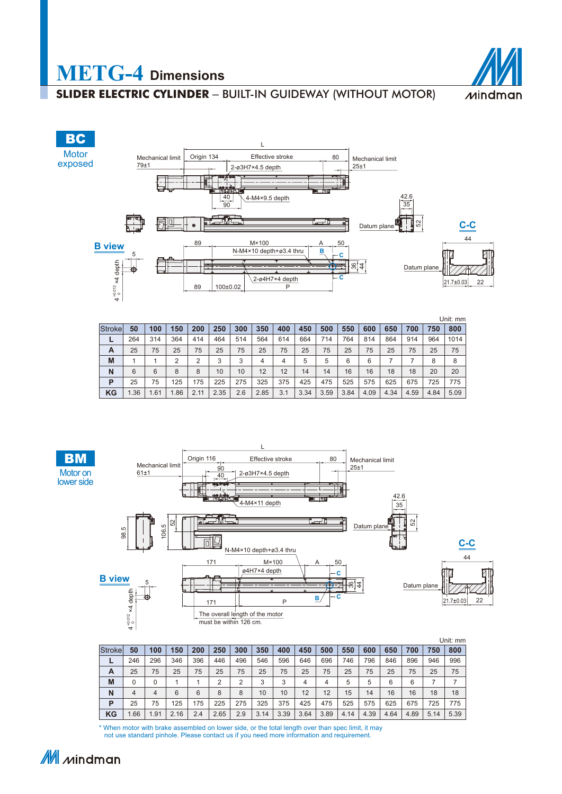





|         |     |      |                |      |      |     |      |     |      |      |      |      |      |      |      | Unit: mm |
|---------|-----|------|----------------|------|------|-----|------|-----|------|------|------|------|------|------|------|----------|
| Strokel | 50  | 100  | 150            | 200  | 250  | 300 | 350  | 400 | 450  | 500  | 550  | 600  | 650  | 700  | 750  | 800      |
| -       | 264 | 314  | 364            | 414  | 464  | 514 | 564  | 614 | 664  | 714  | 764  | 814  | 864  | 914  | 964  | 1014     |
| A       | 25  | 75   | 25             | 75   | 25   | 75  | 25   | 75  | 25   | 75   | 25   | 75   | 25   | 75   | 25   | 75       |
| M       |     |      | $\overline{2}$ | 2    | 3    | 3   | 4    | 4   | 5    | 5    | 6    | 6    |      |      | 8    | 8        |
| N       | 6   | 6    | 8              | 8    | 10   | 10  | 12   | 12  | 14   | 14   | 16   | 16   | 18   | 18   | 20   | 20       |
| P       | 25  | 75   | 125            | 175  | 225  | 275 | 325  | 375 | 425  | 475  | 525  | 575  | 625  | 675  | 725  | 775      |
| KG      | .36 | 1.61 | 1.86           | 2.11 | 2.35 | 2.6 | 2.85 | 3.1 | 3.34 | 3.59 | 3.84 | 4.09 | 4.34 | 4.59 | 4.84 | 5.09     |



|         |     |      |      |     |      |     |      |      |      |      |      |      |      |      |      | Unit: mm |
|---------|-----|------|------|-----|------|-----|------|------|------|------|------|------|------|------|------|----------|
| Strokel | 50  | 100  | 150  | 200 | 250  | 300 | 350  | 400  | 450  | 500  | 550  | 600  | 650  | 700  | 750  | 800      |
| -       | 246 | 296  | 346  | 396 | 446  | 496 | 546  | 596  | 646  | 696  | 746  | 796  | 846  | 896  | 946  | 996      |
| A       | 25  | 75   | 25   | 75  | 25   | 75  | 25   | 75   | 25   | 75   | 25   | 75   | 25   | 75   | 25   | 75       |
| M       | 0   | 0    |      |     | 2    | ◠   | ર    | 3    | 4    | 4    | 5    | 5    | 6    | 6    |      |          |
| N       | 4   | 4    | 6    | 6   | 8    | 8   | 10   | 10   | 12   | 12   | 15   | 14   | 16   | 16   | 18   | 18       |
| P       | 25  | 75   | 125  | 175 | 225  | 275 | 325  | 375  | 425  | 475  | 525  | 575  | 625  | 675  | 725  | 775      |
| ΚG      | .66 | 1.91 | 2.16 | 2.4 | 2.65 | 2.9 | 3.14 | 3.39 | 3.64 | 3.89 | 4.14 | 4.39 | 4.64 | 4.89 | 5.14 | 5.39     |

\* When motor with brake assembled on lower side, or the total length over than spec limit, it may not use standard pinhole. Please contact us if you need more information and requirement.



**BM**